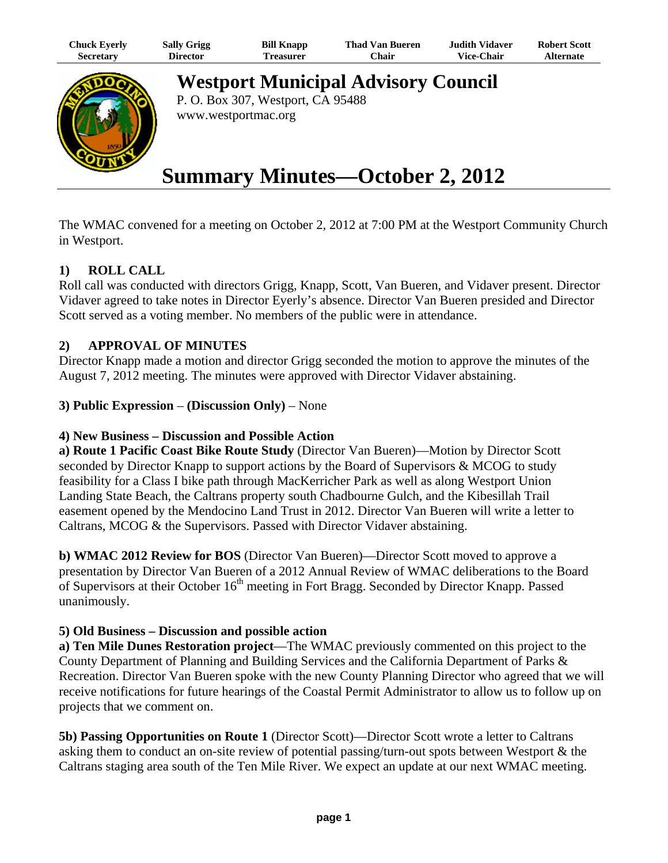| Chuck Eyerly | <b>Sally Grigg</b> | <b>Bill Knapp</b> | <b>Thad Van Bueren</b> | Judith Vidaver    | <b>Robert Scott</b> |
|--------------|--------------------|-------------------|------------------------|-------------------|---------------------|
| Secretary    | Director           | Freasurer         | ∑hair                  | <b>Vice-Chair</b> | Alternate           |



**Westport Municipal Advisory Council**

P. O. Box 307, Westport, CA 95488 www.westportmac.org

# **Summary Minutes—October 2, 2012**

The WMAC convened for a meeting on October 2, 2012 at 7:00 PM at the Westport Community Church in Westport.

# **1) ROLL CALL**

Roll call was conducted with directors Grigg, Knapp, Scott, Van Bueren, and Vidaver present. Director Vidaver agreed to take notes in Director Eyerly's absence. Director Van Bueren presided and Director Scott served as a voting member. No members of the public were in attendance.

#### **2) APPROVAL OF MINUTES**

Director Knapp made a motion and director Grigg seconded the motion to approve the minutes of the August 7, 2012 meeting. The minutes were approved with Director Vidaver abstaining.

**3) Public Expression** – **(Discussion Only)** – None

#### **4) New Business – Discussion and Possible Action**

**a) Route 1 Pacific Coast Bike Route Study** (Director Van Bueren)—Motion by Director Scott seconded by Director Knapp to support actions by the Board of Supervisors & MCOG to study feasibility for a Class I bike path through MacKerricher Park as well as along Westport Union Landing State Beach, the Caltrans property south Chadbourne Gulch, and the Kibesillah Trail easement opened by the Mendocino Land Trust in 2012. Director Van Bueren will write a letter to Caltrans, MCOG & the Supervisors. Passed with Director Vidaver abstaining.

**b) WMAC 2012 Review for BOS** (Director Van Bueren)—Director Scott moved to approve a presentation by Director Van Bueren of a 2012 Annual Review of WMAC deliberations to the Board of Supervisors at their October 16<sup>th</sup> meeting in Fort Bragg. Seconded by Director Knapp. Passed unanimously.

#### **5) Old Business – Discussion and possible action**

**a) Ten Mile Dunes Restoration project**—The WMAC previously commented on this project to the County Department of Planning and Building Services and the California Department of Parks & Recreation. Director Van Bueren spoke with the new County Planning Director who agreed that we will receive notifications for future hearings of the Coastal Permit Administrator to allow us to follow up on projects that we comment on.

**5b) Passing Opportunities on Route 1** (Director Scott)—Director Scott wrote a letter to Caltrans asking them to conduct an on-site review of potential passing/turn-out spots between Westport & the Caltrans staging area south of the Ten Mile River. We expect an update at our next WMAC meeting.